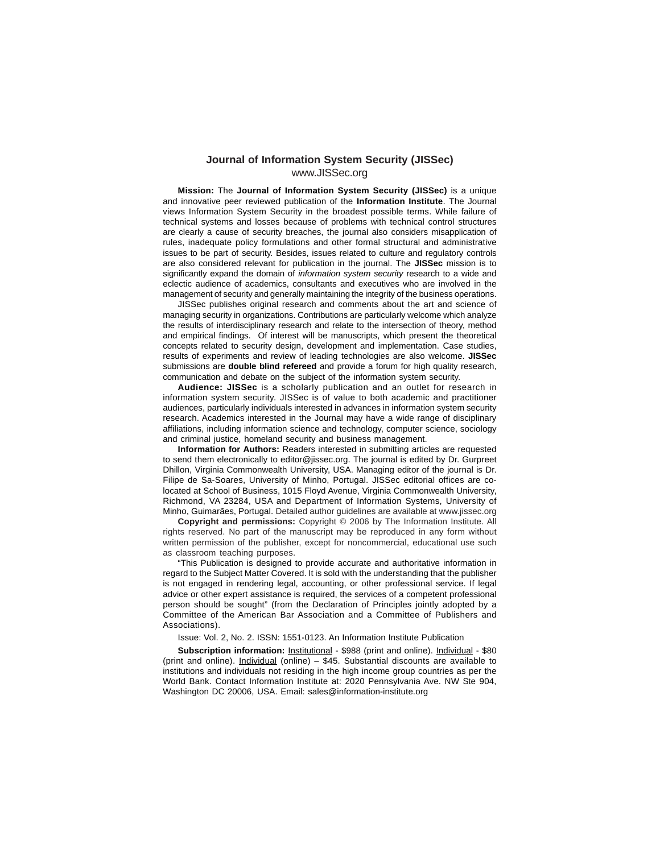#### **Journal of Information System Security (JISSec)** www.JISSec.org

**Mission:** The **Journal of Information System Security (JISSec)** is a unique and innovative peer reviewed publication of the **Information Institute**. The Journal views Information System Security in the broadest possible terms. While failure of technical systems and losses because of problems with technical control structures are clearly a cause of security breaches, the journal also considers misapplication of rules, inadequate policy formulations and other formal structural and administrative issues to be part of security. Besides, issues related to culture and regulatory controls are also considered relevant for publication in the journal. The **JISSec** mission is to significantly expand the domain of *information system security* research to a wide and eclectic audience of academics, consultants and executives who are involved in the management of security and generally maintaining the integrity of the business operations.

JISSec publishes original research and comments about the art and science of managing security in organizations. Contributions are particularly welcome which analyze the results of interdisciplinary research and relate to the intersection of theory, method and empirical findings. Of interest will be manuscripts, which present the theoretical concepts related to security design, development and implementation. Case studies, results of experiments and review of leading technologies are also welcome. **JISSec** submissions are **double blind refereed** and provide a forum for high quality research, communication and debate on the subject of the information system security.

**Audience: JISSec** is a scholarly publication and an outlet for research in information system security. JISSec is of value to both academic and practitioner audiences, particularly individuals interested in advances in information system security research. Academics interested in the Journal may have a wide range of disciplinary affiliations, including information science and technology, computer science, sociology and criminal justice, homeland security and business management.

**Information for Authors:** Readers interested in submitting articles are requested to send them electronically to editor@jissec.org. The journal is edited by Dr. Gurpreet Dhillon, Virginia Commonwealth University, USA. Managing editor of the journal is Dr. Filipe de Sa-Soares, University of Minho, Portugal. JISSec editorial offices are colocated at School of Business, 1015 Floyd Avenue, Virginia Commonwealth University, Richmond, VA 23284, USA and Department of Information Systems, University of Minho, Guimarães, Portugal. Detailed author guidelines are available at www.jissec.org

**Copyright and permissions:** Copyright © 2006 by The Information Institute. All rights reserved. No part of the manuscript may be reproduced in any form without written permission of the publisher, except for noncommercial, educational use such as classroom teaching purposes.

"This Publication is designed to provide accurate and authoritative information in regard to the Subject Matter Covered. It is sold with the understanding that the publisher is not engaged in rendering legal, accounting, or other professional service. If legal advice or other expert assistance is required, the services of a competent professional person should be sought" (from the Declaration of Principles jointly adopted by a Committee of the American Bar Association and a Committee of Publishers and Associations).

Issue: Vol. 2, No. 2. ISSN: 1551-0123. An Information Institute Publication

**Subscription information:** Institutional - \$988 (print and online). Individual - \$80 (print and online). Individual (online) – \$45. Substantial discounts are available to institutions and individuals not residing in the high income group countries as per the World Bank. Contact Information Institute at: 2020 Pennsylvania Ave. NW Ste 904, Washington DC 20006, USA. Email: sales@information-institute.org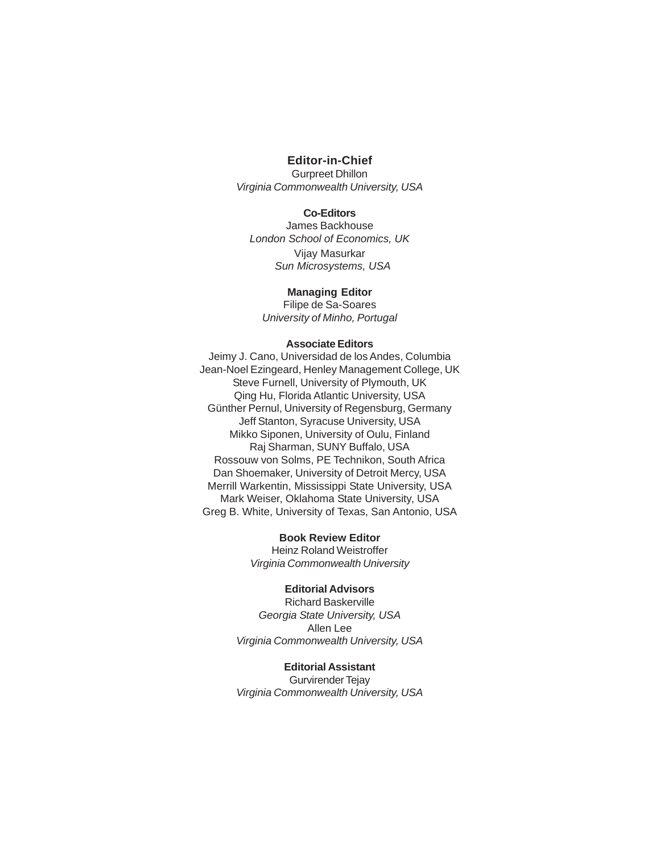## **Editor-in-Chief**

Gurpreet Dhillon Virginia Commonwealth University, USA

## **Co-Editors**

James Backhouse London School of Economics, UK Vijay Masurkar Sun Microsystems, USA

#### **Managing Editor**

Filipe de Sa-Soares University of Minho, Portugal

#### **Associate Editors**

Jeimy J. Cano, Universidad de los Andes, Columbia Jean-Noel Ezingeard, Henley Management College, UK Steve Furnell, University of Plymouth, UK Qing Hu, Florida Atlantic University, USA Günther Pernul, University of Regensburg, Germany Jeff Stanton, Syracuse University, USA Mikko Siponen, University of Oulu, Finland Raj Sharman, SUNY Buffalo, USA Rossouw von Solms, PE Technikon, South Africa Dan Shoemaker, University of Detroit Mercy, USA Merrill Warkentin, Mississippi State University, USA Mark Weiser, Oklahoma State University, USA Greg B. White, University of Texas, San Antonio, USA

## **Book Review Editor**

Heinz Roland Weistroffer Virginia Commonwealth University

## **Editorial Advisors**

Richard Baskerville Georgia State University, USA Allen Lee Virginia Commonwealth University, USA

## **Editorial Assistant**

Gurvirender Tejay Virginia Commonwealth University, USA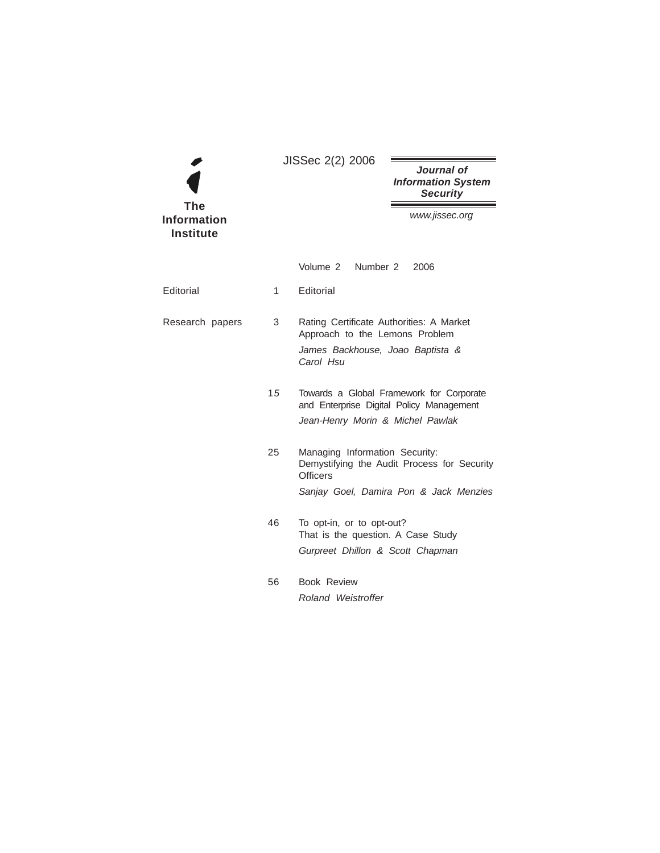|                                               |    | JISSec 2(2) 2006                                                                                                                           |                                                                                      |
|-----------------------------------------------|----|--------------------------------------------------------------------------------------------------------------------------------------------|--------------------------------------------------------------------------------------|
|                                               |    |                                                                                                                                            | Journal of<br><b>Information System</b><br><b>Security</b>                           |
| <b>The</b><br>Information<br><b>Institute</b> |    |                                                                                                                                            | www.jissec.org                                                                       |
|                                               |    | Volume 2 Number 2                                                                                                                          | 2006                                                                                 |
| Editorial                                     | 1  | Editorial                                                                                                                                  |                                                                                      |
| Research papers                               | 3  | Rating Certificate Authorities: A Market<br>Approach to the Lemons Problem<br>James Backhouse, Joao Baptista &<br>Carol Hsu                |                                                                                      |
|                                               | 15 | Jean-Henry Morin & Michel Pawlak                                                                                                           | Towards a Global Framework for Corporate<br>and Enterprise Digital Policy Management |
|                                               | 25 | Managing Information Security:<br>Demystifying the Audit Process for Security<br><b>Officers</b><br>Sanjay Goel, Damira Pon & Jack Menzies |                                                                                      |
|                                               | 46 | To opt-in, or to opt-out?<br>That is the question. A Case Study<br>Gurpreet Dhillon & Scott Chapman                                        |                                                                                      |
|                                               | 56 | <b>Book Review</b><br>Roland Weistroffer                                                                                                   |                                                                                      |